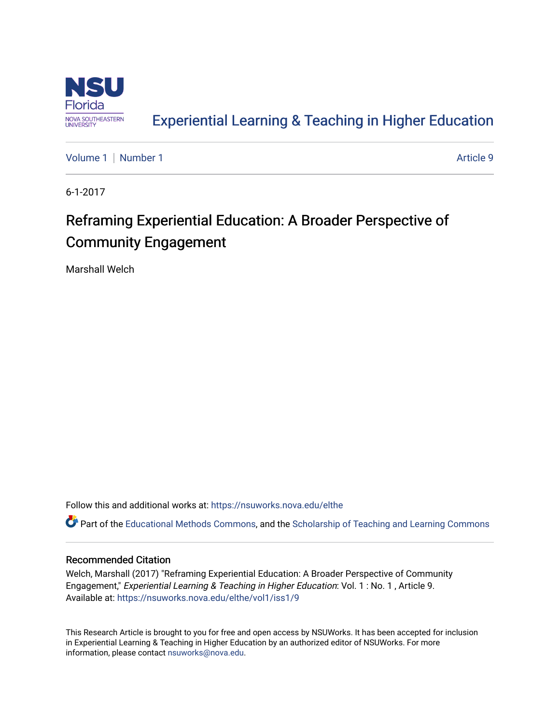

## [Experiential Learning & Teaching in Higher Education](https://nsuworks.nova.edu/elthe)

[Volume 1](https://nsuworks.nova.edu/elthe/vol1) | [Number 1](https://nsuworks.nova.edu/elthe/vol1/iss1) Article 9

6-1-2017

# Reframing Experiential Education: A Broader Perspective of Community Engagement

Marshall Welch

Follow this and additional works at: [https://nsuworks.nova.edu/elthe](https://nsuworks.nova.edu/elthe?utm_source=nsuworks.nova.edu%2Felthe%2Fvol1%2Fiss1%2F9&utm_medium=PDF&utm_campaign=PDFCoverPages)

Part of the [Educational Methods Commons,](http://network.bepress.com/hgg/discipline/1227?utm_source=nsuworks.nova.edu%2Felthe%2Fvol1%2Fiss1%2F9&utm_medium=PDF&utm_campaign=PDFCoverPages) and the Scholarship of Teaching and Learning Commons

## Recommended Citation

Welch, Marshall (2017) "Reframing Experiential Education: A Broader Perspective of Community Engagement," Experiential Learning & Teaching in Higher Education: Vol. 1 : No. 1 , Article 9. Available at: [https://nsuworks.nova.edu/elthe/vol1/iss1/9](https://nsuworks.nova.edu/elthe/vol1/iss1/9?utm_source=nsuworks.nova.edu%2Felthe%2Fvol1%2Fiss1%2F9&utm_medium=PDF&utm_campaign=PDFCoverPages)

This Research Article is brought to you for free and open access by NSUWorks. It has been accepted for inclusion in Experiential Learning & Teaching in Higher Education by an authorized editor of NSUWorks. For more information, please contact [nsuworks@nova.edu.](mailto:nsuworks@nova.edu)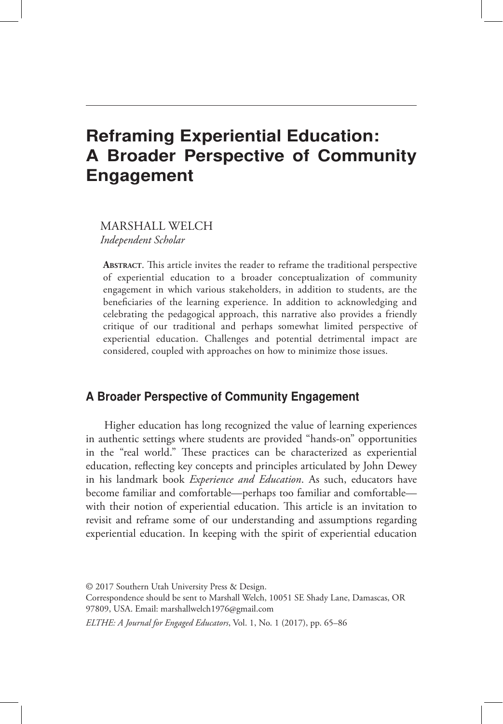## Reframing Experiential Education: A Broader Perspective of Community Engagement

MARSHALL WELCH *Independent Scholar*

**Abstract**. This article invites the reader to reframe the traditional perspective of experiential education to a broader conceptualization of community engagement in which various stakeholders, in addition to students, are the beneficiaries of the learning experience. In addition to acknowledging and celebrating the pedagogical approach, this narrative also provides a friendly critique of our traditional and perhaps somewhat limited perspective of experiential education. Challenges and potential detrimental impact are considered, coupled with approaches on how to minimize those issues.

## A Broader Perspective of Community Engagement

Higher education has long recognized the value of learning experiences in authentic settings where students are provided "hands-on" opportunities in the "real world." These practices can be characterized as experiential education, reflecting key concepts and principles articulated by John Dewey in his landmark book *Experience and Education*. As such, educators have become familiar and comfortable—perhaps too familiar and comfortable with their notion of experiential education. This article is an invitation to revisit and reframe some of our understanding and assumptions regarding experiential education. In keeping with the spirit of experiential education

```
ELTHE: A Journal for Engaged Educators, Vol. 1, No. 1 (2017), pp. 65-86
```
<sup>© 2017</sup> Southern Utah University Press & Design. Correspondence should be sent to Marshall Welch, 10051 SE Shady Lane, Damascas, OR 97809, USA. Email: marshallwelch1976@gmail.com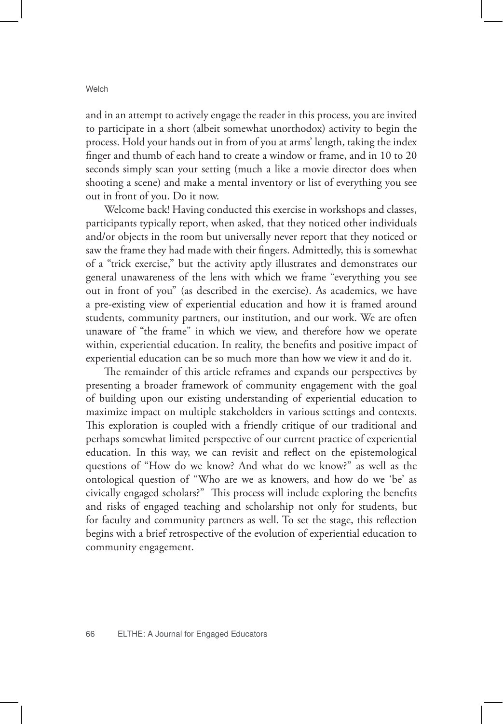and in an attempt to actively engage the reader in this process, you are invited to participate in a short (albeit somewhat unorthodox) activity to begin the process. Hold your hands out in from of you at arms' length, taking the index finger and thumb of each hand to create a window or frame, and in 10 to 20 seconds simply scan your setting (much a like a movie director does when shooting a scene) and make a mental inventory or list of everything you see out in front of you. Do it now.

Welcome back! Having conducted this exercise in workshops and classes, participants typically report, when asked, that they noticed other individuals and/or objects in the room but universally never report that they noticed or saw the frame they had made with their fingers. Admittedly, this is somewhat of a "trick exercise," but the activity aptly illustrates and demonstrates our general unawareness of the lens with which we frame "everything you see out in front of you" (as described in the exercise). As academics, we have a pre-existing view of experiential education and how it is framed around students, community partners, our institution, and our work. We are often unaware of "the frame" in which we view, and therefore how we operate within, experiential education. In reality, the benefits and positive impact of experiential education can be so much more than how we view it and do it.

The remainder of this article reframes and expands our perspectives by presenting a broader framework of community engagement with the goal of building upon our existing understanding of experiential education to maximize impact on multiple stakeholders in various settings and contexts. This exploration is coupled with a friendly critique of our traditional and perhaps somewhat limited perspective of our current practice of experiential education. In this way, we can revisit and reflect on the epistemological questions of "How do we know? And what do we know?" as well as the ontological question of "Who are we as knowers, and how do we 'be' as civically engaged scholars?" This process will include exploring the benefits and risks of engaged teaching and scholarship not only for students, but for faculty and community partners as well. To set the stage, this reflection begins with a brief retrospective of the evolution of experiential education to community engagement.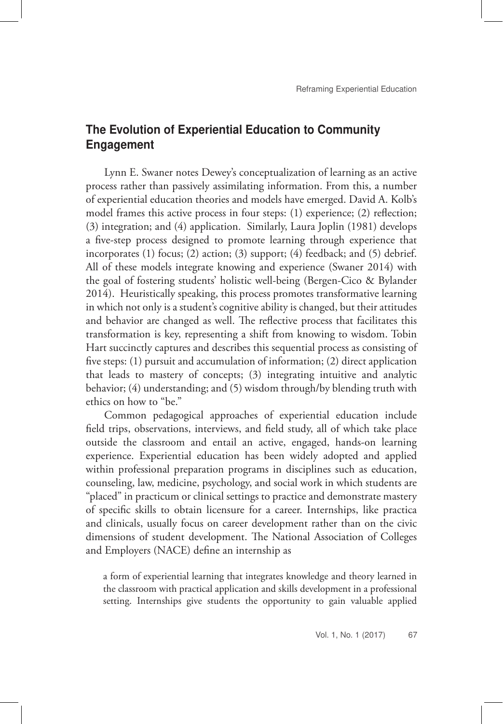## The Evolution of Experiential Education to Community Engagement

Lynn E. Swaner notes Dewey's conceptualization of learning as an active process rather than passively assimilating information. From this, a number of experiential education theories and models have emerged. David A. Kolb's model frames this active process in four steps: (1) experience; (2) reflection; (3) integration; and (4) application. Similarly, Laura Joplin (1981) develops a five-step process designed to promote learning through experience that incorporates (1) focus; (2) action; (3) support; (4) feedback; and (5) debrief. All of these models integrate knowing and experience (Swaner 2014) with the goal of fostering students' holistic well-being (Bergen-Cico & Bylander 2014). Heuristically speaking, this process promotes transformative learning in which not only is a student's cognitive ability is changed, but their attitudes and behavior are changed as well. The reflective process that facilitates this transformation is key, representing a shift from knowing to wisdom. Tobin Hart succinctly captures and describes this sequential process as consisting of five steps: (1) pursuit and accumulation of information; (2) direct application that leads to mastery of concepts; (3) integrating intuitive and analytic behavior; (4) understanding; and (5) wisdom through/by blending truth with ethics on how to "be."

Common pedagogical approaches of experiential education include field trips, observations, interviews, and field study, all of which take place outside the classroom and entail an active, engaged, hands-on learning experience. Experiential education has been widely adopted and applied within professional preparation programs in disciplines such as education, counseling, law, medicine, psychology, and social work in which students are "placed" in practicum or clinical settings to practice and demonstrate mastery of specific skills to obtain licensure for a career. Internships, like practica and clinicals, usually focus on career development rather than on the civic dimensions of student development. The National Association of Colleges and Employers (NACE) define an internship as

a form of experiential learning that integrates knowledge and theory learned in the classroom with practical application and skills development in a professional setting. Internships give students the opportunity to gain valuable applied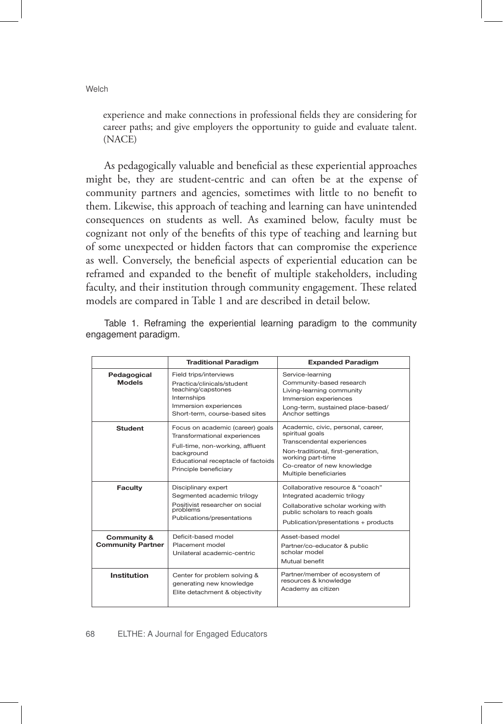experience and make connections in professional fields they are considering for career paths; and give employers the opportunity to guide and evaluate talent. (NACE)

As pedagogically valuable and beneficial as these experiential approaches might be, they are student-centric and can often be at the expense of community partners and agencies, sometimes with little to no benefit to them. Likewise, this approach of teaching and learning can have unintended consequences on students as well. As examined below, faculty must be cognizant not only of the benefits of this type of teaching and learning but of some unexpected or hidden factors that can compromise the experience as well. Conversely, the beneficial aspects of experiential education can be reframed and expanded to the benefit of multiple stakeholders, including faculty, and their institution through community engagement. These related models are compared in Table 1 and are described in detail below.

|                                                    | <b>Traditional Paradigm</b>                                                                                                                                                       | <b>Expanded Paradigm</b>                                                                                                                                                                                |  |  |
|----------------------------------------------------|-----------------------------------------------------------------------------------------------------------------------------------------------------------------------------------|---------------------------------------------------------------------------------------------------------------------------------------------------------------------------------------------------------|--|--|
| Pedagogical<br><b>Models</b>                       | Field trips/interviews<br>Practica/clinicals/student<br>teaching/capstones<br>Internships<br>Immersion experiences<br>Short-term, course-based sites                              | Service-learning<br>Community-based research<br>Living-learning community<br>Immersion experiences<br>Long-term, sustained place-based/<br>Anchor settings                                              |  |  |
| <b>Student</b>                                     | Focus on academic (career) goals<br>Transformational experiences<br>Full-time, non-working, affluent<br>background<br>Educational receptacle of factoids<br>Principle beneficiary | Academic, civic, personal, career,<br>spiritual goals<br>Transcendental experiences<br>Non-traditional, first-generation,<br>working part-time<br>Co-creator of new knowledge<br>Multiple beneficiaries |  |  |
| <b>Faculty</b>                                     | Disciplinary expert<br>Segmented academic trilogy<br>Positivist researcher on social<br>problems<br>Publications/presentations                                                    | Collaborative resource & "coach"<br>Integrated academic trilogy<br>Collaborative scholar working with<br>public scholars to reach goals<br>Publication/presentations + products                         |  |  |
| <b>Community &amp;</b><br><b>Community Partner</b> | Deficit-based model<br>Placement model<br>Unilateral academic-centric                                                                                                             | Asset-based model<br>Partner/co-educator & public<br>scholar model<br>Mutual benefit                                                                                                                    |  |  |
| Institution                                        | Center for problem solving &<br>generating new knowledge<br>Elite detachment & objectivity                                                                                        | Partner/member of ecosystem of<br>resources & knowledge<br>Academy as citizen                                                                                                                           |  |  |

Table 1. Reframing the experiential learning paradigm to the community engagement paradigm.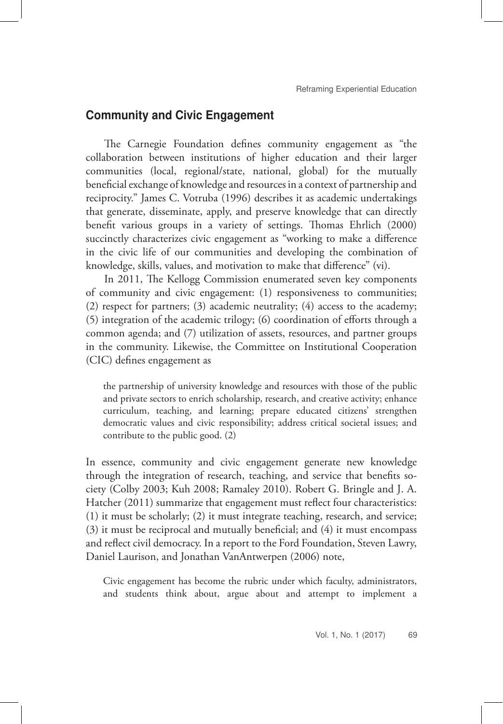### Community and Civic Engagement

The Carnegie Foundation defines community engagement as "the collaboration between institutions of higher education and their larger communities (local, regional/state, national, global) for the mutually beneficial exchange of knowledge and resources in a context of partnership and reciprocity." James C. Votruba (1996) describes it as academic undertakings that generate, disseminate, apply, and preserve knowledge that can directly benefit various groups in a variety of settings. Thomas Ehrlich (2000) succinctly characterizes civic engagement as "working to make a difference in the civic life of our communities and developing the combination of knowledge, skills, values, and motivation to make that difference" (vi).

In 2011, The Kellogg Commission enumerated seven key components of community and civic engagement: (1) responsiveness to communities; (2) respect for partners; (3) academic neutrality; (4) access to the academy; (5) integration of the academic trilogy; (6) coordination of efforts through a common agenda; and (7) utilization of assets, resources, and partner groups in the community. Likewise, the Committee on Institutional Cooperation (CIC) defines engagement as

the partnership of university knowledge and resources with those of the public and private sectors to enrich scholarship, research, and creative activity; enhance curriculum, teaching, and learning; prepare educated citizens' strengthen democratic values and civic responsibility; address critical societal issues; and contribute to the public good. (2)

In essence, community and civic engagement generate new knowledge through the integration of research, teaching, and service that benefits society (Colby 2003; Kuh 2008; Ramaley 2010). Robert G. Bringle and J. A. Hatcher (2011) summarize that engagement must reflect four characteristics: (1) it must be scholarly; (2) it must integrate teaching, research, and service; (3) it must be reciprocal and mutually beneficial; and (4) it must encompass and reflect civil democracy. In a report to the Ford Foundation, Steven Lawry, Daniel Laurison, and Jonathan VanAntwerpen (2006) note,

Civic engagement has become the rubric under which faculty, administrators, and students think about, argue about and attempt to implement a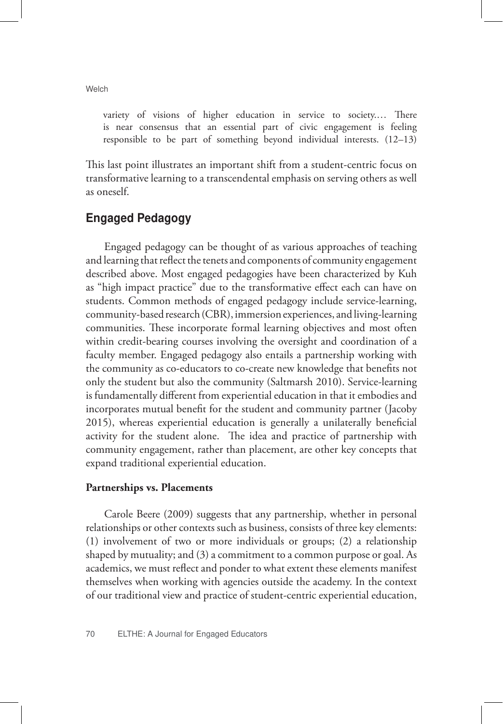variety of visions of higher education in service to society.… There is near consensus that an essential part of civic engagement is feeling responsible to be part of something beyond individual interests. (12–13)

This last point illustrates an important shift from a student-centric focus on transformative learning to a transcendental emphasis on serving others as well as oneself.

## Engaged Pedagogy

Engaged pedagogy can be thought of as various approaches of teaching and learning that reflect the tenets and components of community engagement described above. Most engaged pedagogies have been characterized by Kuh as "high impact practice" due to the transformative effect each can have on students. Common methods of engaged pedagogy include service-learning, community-based research (CBR), immersion experiences, and living-learning communities. These incorporate formal learning objectives and most often within credit-bearing courses involving the oversight and coordination of a faculty member. Engaged pedagogy also entails a partnership working with the community as co-educators to co-create new knowledge that benefits not only the student but also the community (Saltmarsh 2010). Service-learning is fundamentally different from experiential education in that it embodies and incorporates mutual benefit for the student and community partner (Jacoby 2015), whereas experiential education is generally a unilaterally beneficial activity for the student alone. The idea and practice of partnership with community engagement, rather than placement, are other key concepts that expand traditional experiential education.

#### **Partnerships vs. Placements**

Carole Beere (2009) suggests that any partnership, whether in personal relationships or other contexts such as business, consists of three key elements: (1) involvement of two or more individuals or groups; (2) a relationship shaped by mutuality; and (3) a commitment to a common purpose or goal. As academics, we must reflect and ponder to what extent these elements manifest themselves when working with agencies outside the academy. In the context of our traditional view and practice of student-centric experiential education,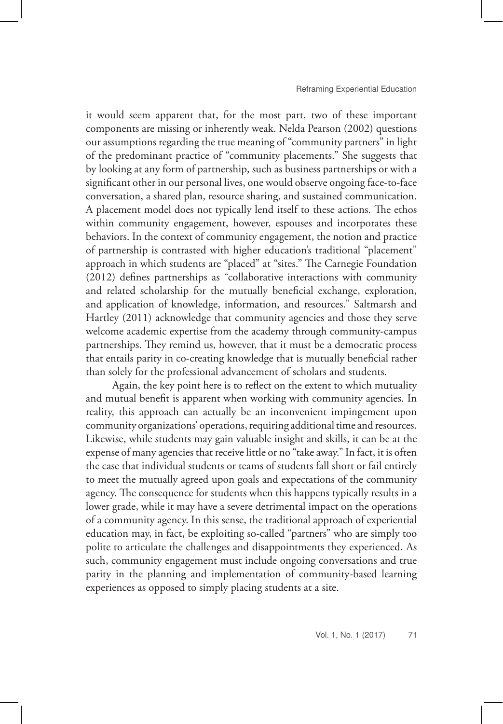it would seem apparent that, for the most part, two of these important components are missing or inherently weak. Nelda Pearson (2002) questions our assumptions regarding the true meaning of "community partners" in light of the predominant practice of "community placements." She suggests that by looking at any form of partnership, such as business partnerships or with a significant other in our personal lives, one would observe ongoing face-to-face conversation, a shared plan, resource sharing, and sustained communication. A placement model does not typically lend itself to these actions. The ethos within community engagement, however, espouses and incorporates these behaviors. In the context of community engagement, the notion and practice of partnership is contrasted with higher education's traditional "placement" approach in which students are "placed" at "sites." The Carnegie Foundation (2012) defines partnerships as "collaborative interactions with community and related scholarship for the mutually beneficial exchange, exploration, and application of knowledge, information, and resources." Saltmarsh and Hartley (2011) acknowledge that community agencies and those they serve welcome academic expertise from the academy through community-campus partnerships. They remind us, however, that it must be a democratic process that entails parity in co-creating knowledge that is mutually beneficial rather than solely for the professional advancement of scholars and students.

 Again, the key point here is to reflect on the extent to which mutuality and mutual benefit is apparent when working with community agencies. In reality, this approach can actually be an inconvenient impingement upon community organizations' operations, requiring additional time and resources. Likewise, while students may gain valuable insight and skills, it can be at the expense of many agencies that receive little or no "take away." In fact, it is often the case that individual students or teams of students fall short or fail entirely to meet the mutually agreed upon goals and expectations of the community agency. The consequence for students when this happens typically results in a lower grade, while it may have a severe detrimental impact on the operations of a community agency. In this sense, the traditional approach of experiential education may, in fact, be exploiting so-called "partners" who are simply too polite to articulate the challenges and disappointments they experienced. As such, community engagement must include ongoing conversations and true parity in the planning and implementation of community-based learning experiences as opposed to simply placing students at a site.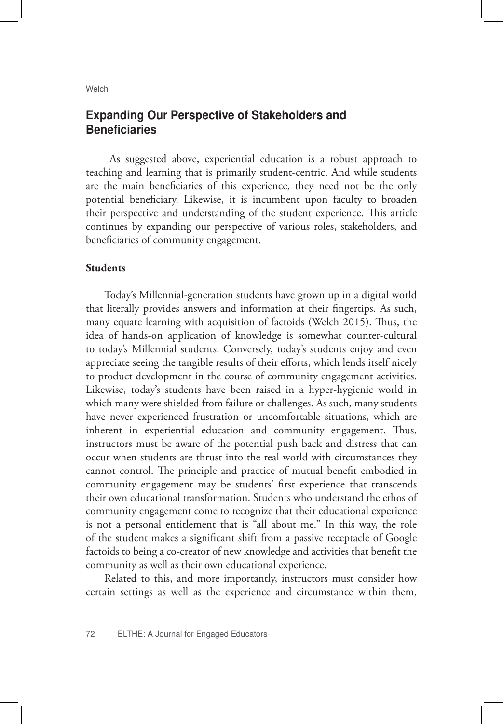## Expanding Our Perspective of Stakeholders and **Beneficiaries**

 As suggested above, experiential education is a robust approach to teaching and learning that is primarily student-centric. And while students are the main beneficiaries of this experience, they need not be the only potential beneficiary. Likewise, it is incumbent upon faculty to broaden their perspective and understanding of the student experience. This article continues by expanding our perspective of various roles, stakeholders, and beneficiaries of community engagement.

#### **Students**

Today's Millennial-generation students have grown up in a digital world that literally provides answers and information at their fingertips. As such, many equate learning with acquisition of factoids (Welch 2015). Thus, the idea of hands-on application of knowledge is somewhat counter-cultural to today's Millennial students. Conversely, today's students enjoy and even appreciate seeing the tangible results of their efforts, which lends itself nicely to product development in the course of community engagement activities. Likewise, today's students have been raised in a hyper-hygienic world in which many were shielded from failure or challenges. As such, many students have never experienced frustration or uncomfortable situations, which are inherent in experiential education and community engagement. Thus, instructors must be aware of the potential push back and distress that can occur when students are thrust into the real world with circumstances they cannot control. The principle and practice of mutual benefit embodied in community engagement may be students' first experience that transcends their own educational transformation. Students who understand the ethos of community engagement come to recognize that their educational experience is not a personal entitlement that is "all about me." In this way, the role of the student makes a significant shift from a passive receptacle of Google factoids to being a co-creator of new knowledge and activities that benefit the community as well as their own educational experience.

Related to this, and more importantly, instructors must consider how certain settings as well as the experience and circumstance within them,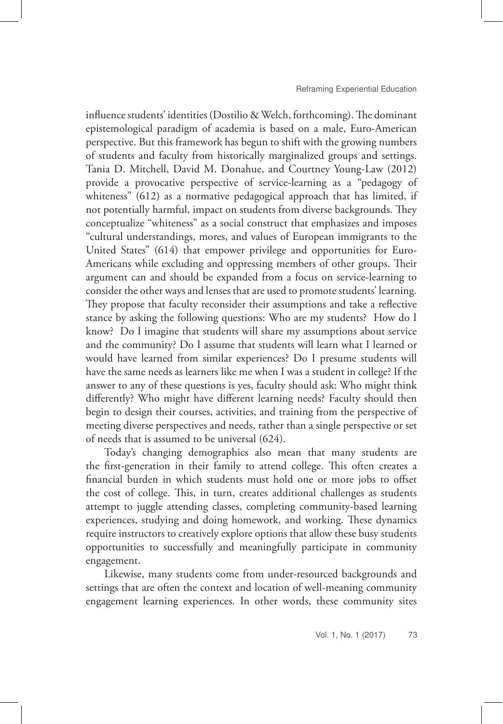influence students' identities (Dostilio & Welch, forthcoming). The dominant epistemological paradigm of academia is based on a male, Euro-American perspective. But this framework has begun to shift with the growing numbers of students and faculty from historically marginalized groups and settings. Tania D. Mitchell, David M. Donahue, and Courtney Young-Law (2012) provide a provocative perspective of service-learning as a "pedagogy of whiteness" (612) as a normative pedagogical approach that has limited, if not potentially harmful, impact on students from diverse backgrounds. They conceptualize "whiteness" as a social construct that emphasizes and imposes "cultural understandings, mores, and values of European immigrants to the United States" (614) that empower privilege and opportunities for Euro-Americans while excluding and oppressing members of other groups. Their argument can and should be expanded from a focus on service-learning to consider the other ways and lenses that are used to promote students' learning. They propose that faculty reconsider their assumptions and take a reflective stance by asking the following questions: Who are my students? How do I know? Do I imagine that students will share my assumptions about service and the community? Do I assume that students will learn what I learned or would have learned from similar experiences? Do I presume students will have the same needs as learners like me when I was a student in college? If the answer to any of these questions is yes, faculty should ask: Who might think differently? Who might have different learning needs? Faculty should then begin to design their courses, activities, and training from the perspective of meeting diverse perspectives and needs, rather than a single perspective or set of needs that is assumed to be universal (624).

Today's changing demographics also mean that many students are the first-generation in their family to attend college. This often creates a financial burden in which students must hold one or more jobs to offset the cost of college. This, in turn, creates additional challenges as students attempt to juggle attending classes, completing community-based learning experiences, studying and doing homework, and working. These dynamics require instructors to creatively explore options that allow these busy students opportunities to successfully and meaningfully participate in community engagement.

Likewise, many students come from under-resourced backgrounds and settings that are often the context and location of well-meaning community engagement learning experiences. In other words, these community sites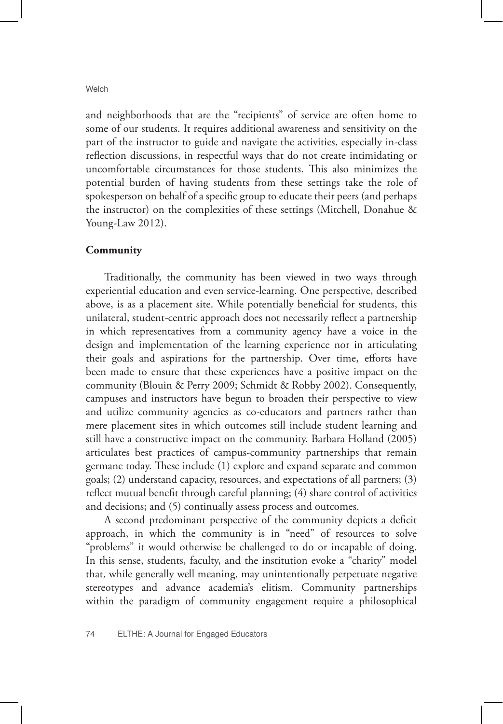and neighborhoods that are the "recipients" of service are often home to some of our students. It requires additional awareness and sensitivity on the part of the instructor to guide and navigate the activities, especially in-class reflection discussions, in respectful ways that do not create intimidating or uncomfortable circumstances for those students. This also minimizes the potential burden of having students from these settings take the role of spokesperson on behalf of a specific group to educate their peers (and perhaps the instructor) on the complexities of these settings (Mitchell, Donahue & Young-Law 2012).

#### **Community**

Traditionally, the community has been viewed in two ways through experiential education and even service-learning. One perspective, described above, is as a placement site. While potentially beneficial for students, this unilateral, student-centric approach does not necessarily reflect a partnership in which representatives from a community agency have a voice in the design and implementation of the learning experience nor in articulating their goals and aspirations for the partnership. Over time, efforts have been made to ensure that these experiences have a positive impact on the community (Blouin & Perry 2009; Schmidt & Robby 2002). Consequently, campuses and instructors have begun to broaden their perspective to view and utilize community agencies as co-educators and partners rather than mere placement sites in which outcomes still include student learning and still have a constructive impact on the community. Barbara Holland (2005) articulates best practices of campus-community partnerships that remain germane today. These include (1) explore and expand separate and common goals; (2) understand capacity, resources, and expectations of all partners; (3) reflect mutual benefit through careful planning; (4) share control of activities and decisions; and (5) continually assess process and outcomes.

A second predominant perspective of the community depicts a deficit approach, in which the community is in "need" of resources to solve "problems" it would otherwise be challenged to do or incapable of doing. In this sense, students, faculty, and the institution evoke a "charity" model that, while generally well meaning, may unintentionally perpetuate negative stereotypes and advance academia's elitism. Community partnerships within the paradigm of community engagement require a philosophical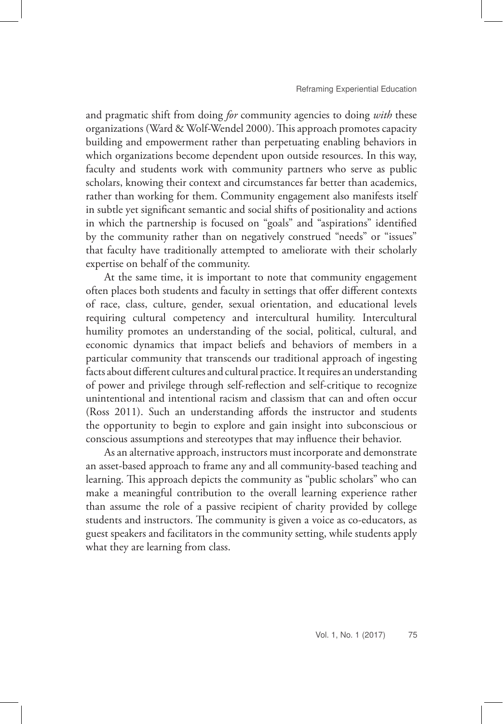and pragmatic shift from doing *for* community agencies to doing *with* these organizations (Ward & Wolf-Wendel 2000). This approach promotes capacity building and empowerment rather than perpetuating enabling behaviors in which organizations become dependent upon outside resources. In this way, faculty and students work with community partners who serve as public scholars, knowing their context and circumstances far better than academics, rather than working for them. Community engagement also manifests itself in subtle yet significant semantic and social shifts of positionality and actions in which the partnership is focused on "goals" and "aspirations" identified by the community rather than on negatively construed "needs" or "issues" that faculty have traditionally attempted to ameliorate with their scholarly expertise on behalf of the community.

At the same time, it is important to note that community engagement often places both students and faculty in settings that offer different contexts of race, class, culture, gender, sexual orientation, and educational levels requiring cultural competency and intercultural humility. Intercultural humility promotes an understanding of the social, political, cultural, and economic dynamics that impact beliefs and behaviors of members in a particular community that transcends our traditional approach of ingesting facts about different cultures and cultural practice. It requires an understanding of power and privilege through self-reflection and self-critique to recognize unintentional and intentional racism and classism that can and often occur (Ross 2011). Such an understanding affords the instructor and students the opportunity to begin to explore and gain insight into subconscious or conscious assumptions and stereotypes that may influence their behavior.

As an alternative approach, instructors must incorporate and demonstrate an asset-based approach to frame any and all community-based teaching and learning. This approach depicts the community as "public scholars" who can make a meaningful contribution to the overall learning experience rather than assume the role of a passive recipient of charity provided by college students and instructors. The community is given a voice as co-educators, as guest speakers and facilitators in the community setting, while students apply what they are learning from class.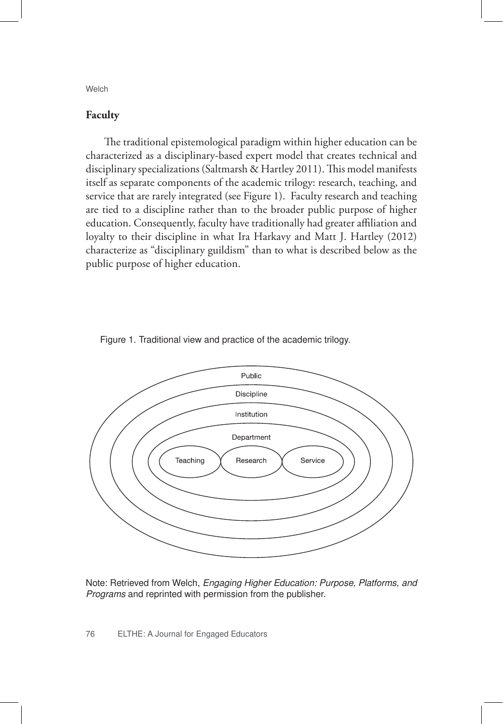#### **Faculty**

The traditional epistemological paradigm within higher education can be characterized as a disciplinary-based expert model that creates technical and disciplinary specializations (Saltmarsh & Hartley 2011). This model manifests itself as separate components of the academic trilogy: research, teaching, and service that are rarely integrated (see Figure 1). Faculty research and teaching are tied to a discipline rather than to the broader public purpose of higher education. Consequently, faculty have traditionally had greater affiliation and loyalty to their discipline in what Ira Harkavy and Matt J. Hartley (2012) characterize as "disciplinary guildism" than to what is described below as the public purpose of higher education.





Note: Retrieved from Welch, *Engaging Higher Education: Purpose, Platforms, and Programs* and reprinted with permission from the publisher.

76 ELTHE: A Journal for Engaged Educators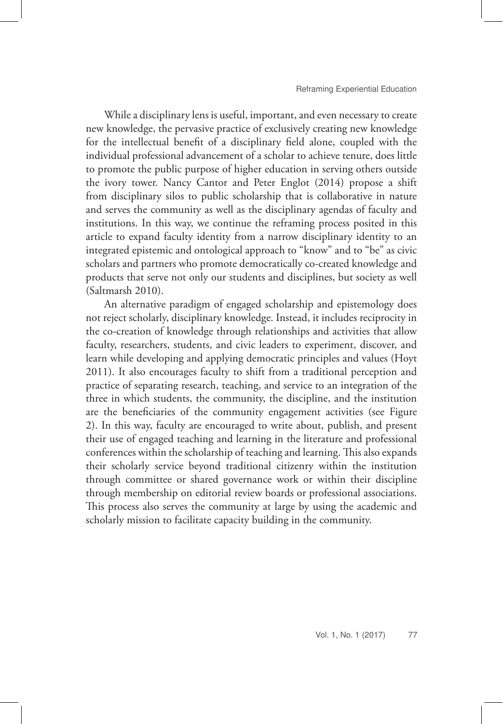While a disciplinary lens is useful, important, and even necessary to create new knowledge, the pervasive practice of exclusively creating new knowledge for the intellectual benefit of a disciplinary field alone, coupled with the individual professional advancement of a scholar to achieve tenure, does little to promote the public purpose of higher education in serving others outside the ivory tower. Nancy Cantor and Peter Englot (2014) propose a shift from disciplinary silos to public scholarship that is collaborative in nature and serves the community as well as the disciplinary agendas of faculty and institutions. In this way, we continue the reframing process posited in this article to expand faculty identity from a narrow disciplinary identity to an integrated epistemic and ontological approach to "know" and to "be" as civic scholars and partners who promote democratically co-created knowledge and products that serve not only our students and disciplines, but society as well (Saltmarsh 2010).

An alternative paradigm of engaged scholarship and epistemology does not reject scholarly, disciplinary knowledge. Instead, it includes reciprocity in the co-creation of knowledge through relationships and activities that allow faculty, researchers, students, and civic leaders to experiment, discover, and learn while developing and applying democratic principles and values (Hoyt 2011). It also encourages faculty to shift from a traditional perception and practice of separating research, teaching, and service to an integration of the three in which students, the community, the discipline, and the institution are the beneficiaries of the community engagement activities (see Figure 2). In this way, faculty are encouraged to write about, publish, and present their use of engaged teaching and learning in the literature and professional conferences within the scholarship of teaching and learning. This also expands their scholarly service beyond traditional citizenry within the institution through committee or shared governance work or within their discipline through membership on editorial review boards or professional associations. This process also serves the community at large by using the academic and scholarly mission to facilitate capacity building in the community.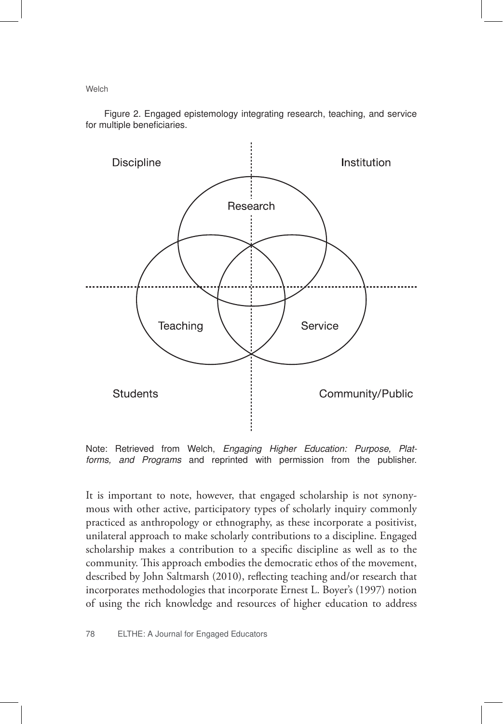Figure 2. Engaged epistemology integrating research, teaching, and service for multiple beneficiaries.



Note: Retrieved from Welch, *Engaging Higher Education: Purpose, Platforms, and Programs* and reprinted with permission from the publisher.

It is important to note, however, that engaged scholarship is not synonymous with other active, participatory types of scholarly inquiry commonly practiced as anthropology or ethnography, as these incorporate a positivist, unilateral approach to make scholarly contributions to a discipline. Engaged scholarship makes a contribution to a specific discipline as well as to the community. This approach embodies the democratic ethos of the movement, described by John Saltmarsh (2010), reflecting teaching and/or research that incorporates methodologies that incorporate Ernest L. Boyer's (1997) notion of using the rich knowledge and resources of higher education to address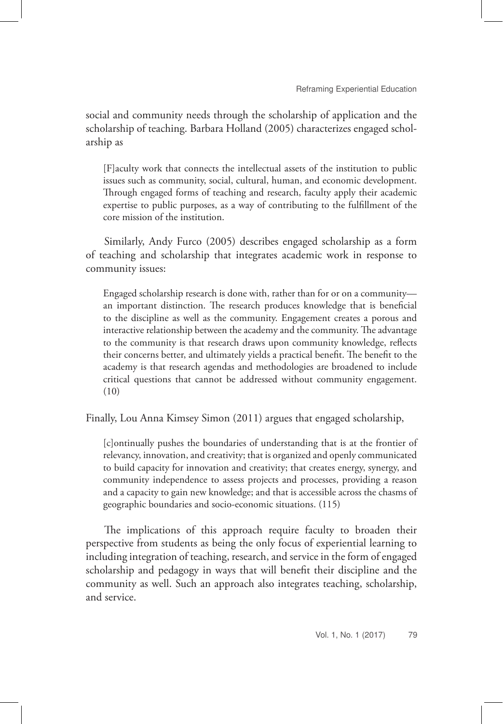social and community needs through the scholarship of application and the scholarship of teaching. Barbara Holland (2005) characterizes engaged scholarship as

[F]aculty work that connects the intellectual assets of the institution to public issues such as community, social, cultural, human, and economic development. Through engaged forms of teaching and research, faculty apply their academic expertise to public purposes, as a way of contributing to the fulfillment of the core mission of the institution.

Similarly, Andy Furco (2005) describes engaged scholarship as a form of teaching and scholarship that integrates academic work in response to community issues:

Engaged scholarship research is done with, rather than for or on a community an important distinction. The research produces knowledge that is beneficial to the discipline as well as the community. Engagement creates a porous and interactive relationship between the academy and the community. The advantage to the community is that research draws upon community knowledge, reflects their concerns better, and ultimately yields a practical benefit. The benefit to the academy is that research agendas and methodologies are broadened to include critical questions that cannot be addressed without community engagement. (10)

Finally, Lou Anna Kimsey Simon (2011) argues that engaged scholarship,

[c]ontinually pushes the boundaries of understanding that is at the frontier of relevancy, innovation, and creativity; that is organized and openly communicated to build capacity for innovation and creativity; that creates energy, synergy, and community independence to assess projects and processes, providing a reason and a capacity to gain new knowledge; and that is accessible across the chasms of geographic boundaries and socio-economic situations. (115)

The implications of this approach require faculty to broaden their perspective from students as being the only focus of experiential learning to including integration of teaching, research, and service in the form of engaged scholarship and pedagogy in ways that will benefit their discipline and the community as well. Such an approach also integrates teaching, scholarship, and service.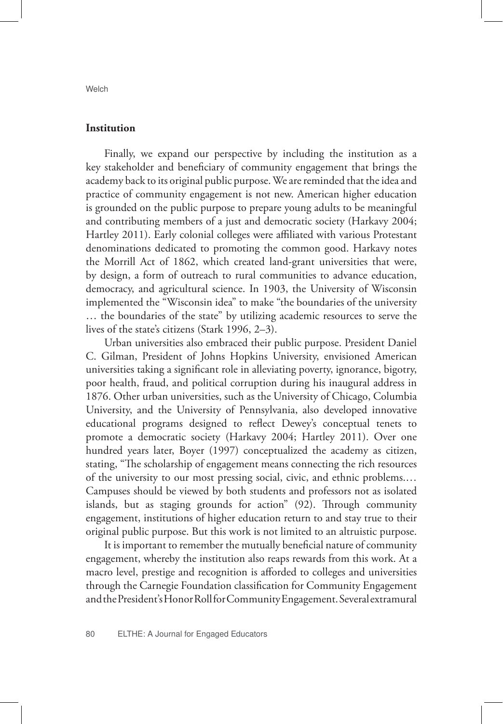**Institution**

Finally, we expand our perspective by including the institution as a key stakeholder and beneficiary of community engagement that brings the academy back to its original public purpose. We are reminded that the idea and practice of community engagement is not new. American higher education is grounded on the public purpose to prepare young adults to be meaningful and contributing members of a just and democratic society (Harkavy 2004; Hartley 2011). Early colonial colleges were affiliated with various Protestant denominations dedicated to promoting the common good. Harkavy notes the Morrill Act of 1862, which created land-grant universities that were, by design, a form of outreach to rural communities to advance education, democracy, and agricultural science. In 1903, the University of Wisconsin implemented the "Wisconsin idea" to make "the boundaries of the university … the boundaries of the state" by utilizing academic resources to serve the lives of the state's citizens (Stark 1996, 2–3).

Urban universities also embraced their public purpose. President Daniel C. Gilman, President of Johns Hopkins University, envisioned American universities taking a significant role in alleviating poverty, ignorance, bigotry, poor health, fraud, and political corruption during his inaugural address in 1876. Other urban universities, such as the University of Chicago, Columbia University, and the University of Pennsylvania, also developed innovative educational programs designed to reflect Dewey's conceptual tenets to promote a democratic society (Harkavy 2004; Hartley 2011). Over one hundred years later, Boyer (1997) conceptualized the academy as citizen, stating, "The scholarship of engagement means connecting the rich resources of the university to our most pressing social, civic, and ethnic problems.… Campuses should be viewed by both students and professors not as isolated islands, but as staging grounds for action" (92). Through community engagement, institutions of higher education return to and stay true to their original public purpose. But this work is not limited to an altruistic purpose.

It is important to remember the mutually beneficial nature of community engagement, whereby the institution also reaps rewards from this work. At a macro level, prestige and recognition is afforded to colleges and universities through the Carnegie Foundation classification for Community Engagement and the President's Honor Roll for Community Engagement. Several extramural

**Welch**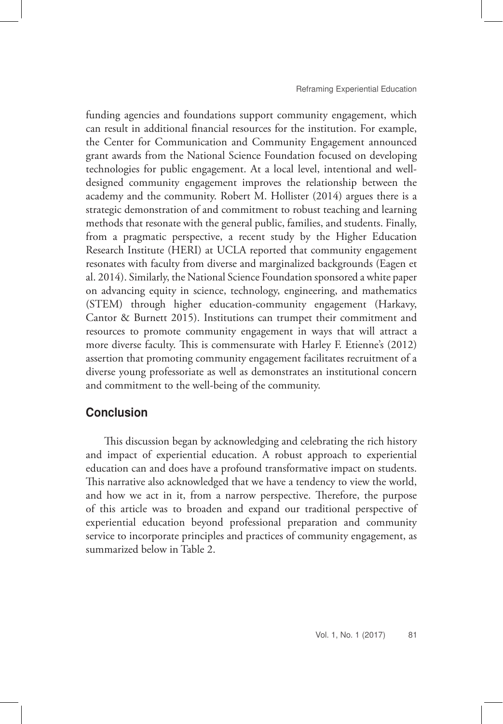funding agencies and foundations support community engagement, which can result in additional financial resources for the institution. For example, the Center for Communication and Community Engagement announced grant awards from the National Science Foundation focused on developing technologies for public engagement. At a local level, intentional and welldesigned community engagement improves the relationship between the academy and the community. Robert M. Hollister (2014) argues there is a strategic demonstration of and commitment to robust teaching and learning methods that resonate with the general public, families, and students. Finally, from a pragmatic perspective, a recent study by the Higher Education Research Institute (HERI) at UCLA reported that community engagement resonates with faculty from diverse and marginalized backgrounds (Eagen et al. 2014). Similarly, the National Science Foundation sponsored a white paper on advancing equity in science, technology, engineering, and mathematics (STEM) through higher education-community engagement (Harkavy, Cantor & Burnett 2015). Institutions can trumpet their commitment and resources to promote community engagement in ways that will attract a more diverse faculty. This is commensurate with Harley F. Etienne's (2012) assertion that promoting community engagement facilitates recruitment of a diverse young professoriate as well as demonstrates an institutional concern and commitment to the well-being of the community.

## Conclusion

This discussion began by acknowledging and celebrating the rich history and impact of experiential education. A robust approach to experiential education can and does have a profound transformative impact on students. This narrative also acknowledged that we have a tendency to view the world, and how we act in it, from a narrow perspective. Therefore, the purpose of this article was to broaden and expand our traditional perspective of experiential education beyond professional preparation and community service to incorporate principles and practices of community engagement, as summarized below in Table 2.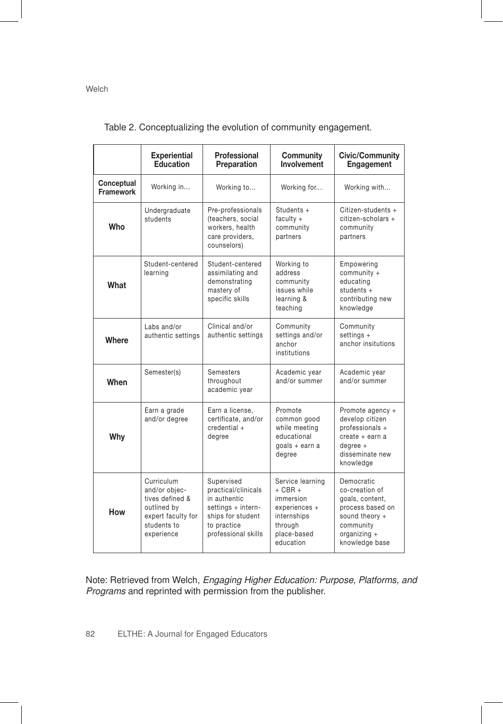|                                | <b>Experiential</b><br>Education                                                                                 | Professional<br>Preparation                                                                                                        | Community<br>Involvement                                                                                            | <b>Civic/Community</b><br>Engagement                                                                                                   |
|--------------------------------|------------------------------------------------------------------------------------------------------------------|------------------------------------------------------------------------------------------------------------------------------------|---------------------------------------------------------------------------------------------------------------------|----------------------------------------------------------------------------------------------------------------------------------------|
| Conceptual<br><b>Framework</b> | Working in                                                                                                       | Working to                                                                                                                         | Working for                                                                                                         | Working with                                                                                                                           |
| Who                            | Undergraduate<br>students                                                                                        | Pre-professionals<br>(teachers, social<br>workers, health<br>care providers,<br>counselors)                                        | Students +<br>faculty $+$<br>community<br>partners                                                                  | Citizen-students +<br>citizen-scholars +<br>community<br>partners                                                                      |
| What                           | Student-centered<br>learning                                                                                     | Student-centered<br>assimilating and<br>demonstrating<br>mastery of<br>specific skills                                             | Working to<br>address<br>community<br>issues while<br>learning &<br>teaching                                        | Empowering<br>community +<br>educating<br>students $+$<br>contributing new<br>knowledge                                                |
| Where                          | Labs and/or<br>authentic settings                                                                                | Clinical and/or<br>authentic settings                                                                                              | Community<br>settings and/or<br>anchor<br>institutions                                                              | Community<br>settings $+$<br>anchor insitutions                                                                                        |
| When                           | Semester(s)                                                                                                      | <b>Semesters</b><br>throughout<br>academic year                                                                                    | Academic year<br>and/or summer                                                                                      | Academic year<br>and/or summer                                                                                                         |
| Why                            | Earn a grade<br>and/or degree                                                                                    | Earn a license.<br>certificate, and/or<br>credential +<br>degree                                                                   | Promote<br>common good<br>while meeting<br>educational<br>qoals + earn a<br>degree                                  | Promote agency +<br>develop citizen<br>professionals +<br>create + earn a<br>$degree +$<br>disseminate new<br>knowledge                |
| How                            | Curriculum<br>and/or objec-<br>tives defined &<br>outlined by<br>expert faculty for<br>students to<br>experience | Supervised<br>practical/clinicals<br>in authentic<br>settings + intern-<br>ships for student<br>to practice<br>professional skills | Service learning<br>$+$ CBR $+$<br>immersion<br>experiences +<br>internships<br>through<br>place-based<br>education | Democratic<br>co-creation of<br>goals, content,<br>process based on<br>sound theory +<br>community<br>organizing $+$<br>knowledge base |

Table 2. Conceptualizing the evolution of community engagement.

Note: Retrieved from Welch, *Engaging Higher Education: Purpose, Platforms, and Programs* and reprinted with permission from the publisher.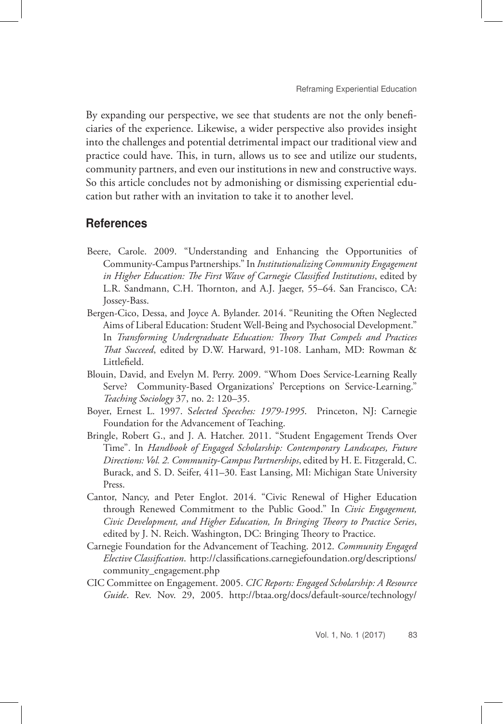By expanding our perspective, we see that students are not the only beneficiaries of the experience. Likewise, a wider perspective also provides insight into the challenges and potential detrimental impact our traditional view and practice could have. This, in turn, allows us to see and utilize our students, community partners, and even our institutions in new and constructive ways. So this article concludes not by admonishing or dismissing experiential education but rather with an invitation to take it to another level.

### References

- Beere, Carole. 2009. "Understanding and Enhancing the Opportunities of Community-Campus Partnerships." In *Institutionalizing Community Engagement in Higher Education: The First Wave of Carnegie Classified Institutions*, edited by L.R. Sandmann, C.H. Thornton, and A.J. Jaeger, 55–64. San Francisco, CA: Jossey-Bass.
- Bergen-Cico, Dessa, and Joyce A. Bylander. 2014. "Reuniting the Often Neglected Aims of Liberal Education: Student Well-Being and Psychosocial Development." In *Transforming Undergraduate Education: Theory That Compels and Practices That Succeed*, edited by D.W. Harward, 91-108. Lanham, MD: Rowman & Littlefield.
- Blouin, David, and Evelyn M. Perry. 2009. "Whom Does Service-Learning Really Serve? Community-Based Organizations' Perceptions on Service-Learning." *Teaching Sociology* 37, no. 2: 120–35.
- Boyer, Ernest L. 1997. S*elected Speeches: 1979-1995*. Princeton, NJ: Carnegie Foundation for the Advancement of Teaching.
- Bringle, Robert G., and J. A. Hatcher. 2011. "Student Engagement Trends Over Time". In *Handbook of Engaged Scholarship: Contemporary Landscapes, Future Directions: Vol. 2. Community-Campus Partnerships*, edited by H. E. Fitzgerald, C. Burack, and S. D. Seifer, 411–30. East Lansing, MI: Michigan State University Press.
- Cantor, Nancy, and Peter Englot. 2014. "Civic Renewal of Higher Education through Renewed Commitment to the Public Good." In *Civic Engagement, Civic Development, and Higher Education, In Bringing Theory to Practice Series*, edited by J. N. Reich. Washington, DC: Bringing Theory to Practice.
- Carnegie Foundation for the Advancement of Teaching. 2012. *Community Engaged Elective Classification*. http://classifications.carnegiefoundation.org/descriptions/ community\_engagement.php
- CIC Committee on Engagement. 2005. *CIC Reports: Engaged Scholarship: A Resource Guide*. Rev. Nov. 29, 2005. http://btaa.org/docs/default-source/technology/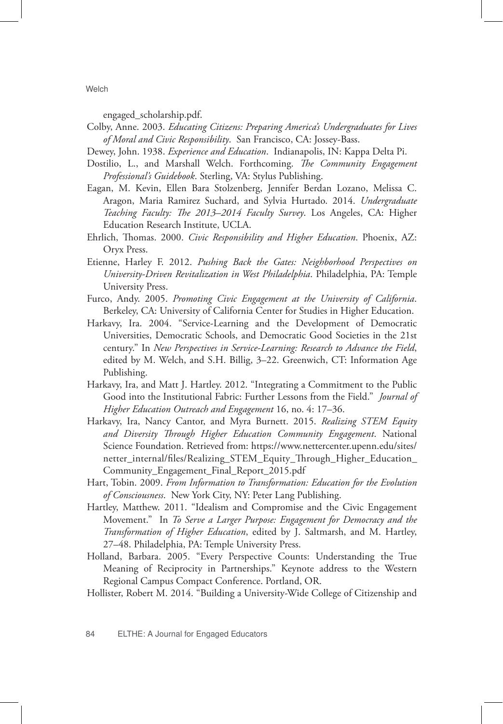engaged\_scholarship.pdf.

- Colby, Anne. 2003. *Educating Citizens: Preparing America's Undergraduates for Lives of Moral and Civic Responsibility*. San Francisco, CA: Jossey-Bass.
- Dewey, John. 1938. *Experience and Education*. Indianapolis, IN: Kappa Delta Pi.
- Dostilio, L., and Marshall Welch. Forthcoming. *The Community Engagement Professional's Guidebook*. Sterling, VA: Stylus Publishing.
- Eagan, M. Kevin, Ellen Bara Stolzenberg, Jennifer Berdan Lozano, Melissa C. Aragon, Maria Ramirez Suchard, and Sylvia Hurtado. 2014. *Undergraduate Teaching Faculty: The 2013–2014 Faculty Survey*. Los Angeles, CA: Higher Education Research Institute, UCLA.
- Ehrlich, Thomas. 2000. *Civic Responsibility and Higher Education*. Phoenix, AZ: Oryx Press.
- Etienne, Harley F. 2012. *Pushing Back the Gates: Neighborhood Perspectives on University-Driven Revitalization in West Philadelphia*. Philadelphia, PA: Temple University Press.
- Furco, Andy. 2005. *Promoting Civic Engagement at the University of California*. Berkeley, CA: University of California Center for Studies in Higher Education.
- Harkavy, Ira. 2004. "Service-Learning and the Development of Democratic Universities, Democratic Schools, and Democratic Good Societies in the 21st century." In *New Perspectives in Service-Learning: Research to Advance the Field*, edited by M. Welch, and S.H. Billig, 3–22. Greenwich, CT: Information Age Publishing.
- Harkavy, Ira, and Matt J. Hartley. 2012. "Integrating a Commitment to the Public Good into the Institutional Fabric: Further Lessons from the Field." *Journal of Higher Education Outreach and Engagement* 16, no. 4: 17–36.
- Harkavy, Ira, Nancy Cantor, and Myra Burnett. 2015. *Realizing STEM Equity and Diversity Through Higher Education Community Engagement*. National Science Foundation. Retrieved from: https://www.nettercenter.upenn.edu/sites/ netter\_internal/files/Realizing\_STEM\_Equity\_Through\_Higher\_Education\_ Community\_Engagement\_Final\_Report\_2015.pdf
- Hart, Tobin. 2009. *From Information to Transformation: Education for the Evolution of Consciousness*. New York City, NY: Peter Lang Publishing.
- Hartley, Matthew. 2011. "Idealism and Compromise and the Civic Engagement Movement." In *To Serve a Larger Purpose: Engagement for Democracy and the Transformation of Higher Education*, edited by J. Saltmarsh, and M. Hartley, 27–48. Philadelphia, PA: Temple University Press.
- Holland, Barbara. 2005. "Every Perspective Counts: Understanding the True Meaning of Reciprocity in Partnerships." Keynote address to the Western Regional Campus Compact Conference. Portland, OR.
- Hollister, Robert M. 2014. "Building a University-Wide College of Citizenship and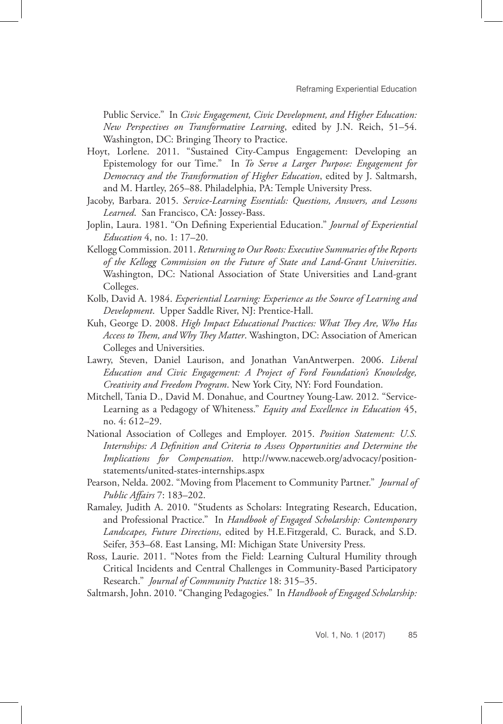Public Service." In *Civic Engagement, Civic Development, and Higher Education: New Perspectives on Transformative Learning*, edited by J.N. Reich, 51–54. Washington, DC: Bringing Theory to Practice.

- Hoyt, Lorlene. 2011. "Sustained City-Campus Engagement: Developing an Epistemology for our Time." In *To Serve a Larger Purpose: Engagement for Democracy and the Transformation of Higher Education*, edited by J. Saltmarsh, and M. Hartley, 265–88. Philadelphia, PA: Temple University Press.
- Jacoby, Barbara. 2015. *Service-Learning Essentials: Questions, Answers, and Lessons Learned*. San Francisco, CA: Jossey-Bass.
- Joplin, Laura. 1981. "On Defining Experiential Education." *Journal of Experiential Education* 4, no. 1: 17–20.
- Kellogg Commission. 2011. *Returning to Our Roots: Executive Summaries of the Reports of the Kellogg Commission on the Future of State and Land-Grant Universities*. Washington, DC: National Association of State Universities and Land-grant Colleges.
- Kolb, David A. 1984. *Experiential Learning: Experience as the Source of Learning and Development*. Upper Saddle River, NJ: Prentice-Hall.
- Kuh, George D. 2008. *High Impact Educational Practices: What They Are, Who Has Access to Them, and Why They Matter*. Washington, DC: Association of American Colleges and Universities.
- Lawry, Steven, Daniel Laurison, and Jonathan VanAntwerpen. 2006. *Liberal Education and Civic Engagement: A Project of Ford Foundation's Knowledge, Creativity and Freedom Program*. New York City, NY: Ford Foundation.
- Mitchell, Tania D., David M. Donahue, and Courtney Young-Law. 2012. "Service-Learning as a Pedagogy of Whiteness." *Equity and Excellence in Education* 45, no. 4: 612–29.
- National Association of Colleges and Employer. 2015. *Position Statement: U.S. Internships: A Definition and Criteria to Assess Opportunities and Determine the Implications for Compensation*. http://www.naceweb.org/advocacy/positionstatements/united-states-internships.aspx
- Pearson, Nelda. 2002. "Moving from Placement to Community Partner." *Journal of Public Affairs* 7: 183–202.
- Ramaley, Judith A. 2010. "Students as Scholars: Integrating Research, Education, and Professional Practice." In *Handbook of Engaged Scholarship: Contemporary Landscapes, Future Directions*, edited by H.E.Fitzgerald, C. Burack, and S.D. Seifer, 353–68. East Lansing, MI: Michigan State University Press.
- Ross, Laurie. 2011. "Notes from the Field: Learning Cultural Humility through Critical Incidents and Central Challenges in Community-Based Participatory Research." *Journal of Community Practice* 18: 315–35.
- Saltmarsh, John. 2010. "Changing Pedagogies." In *Handbook of Engaged Scholarship:*